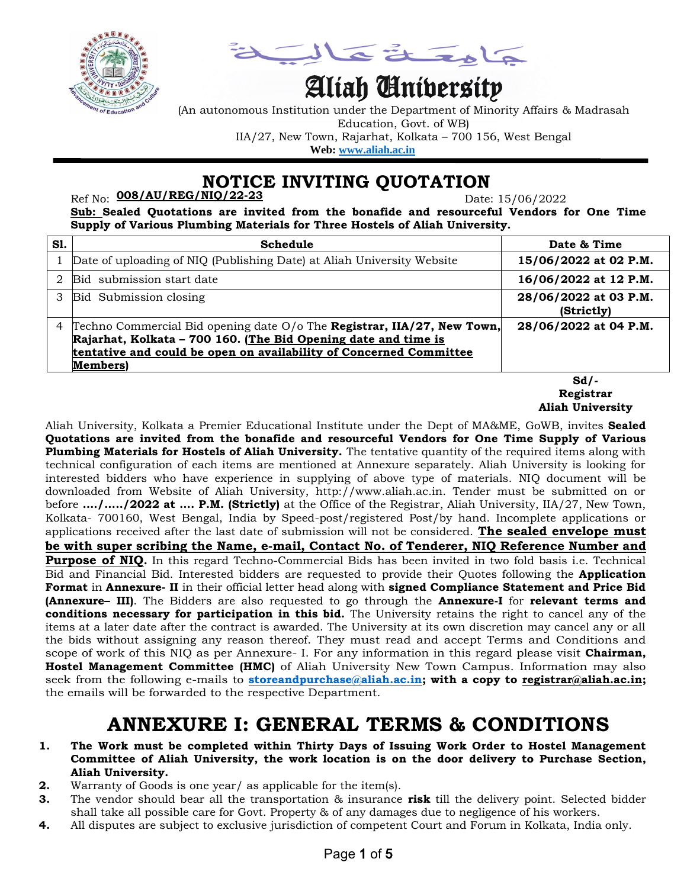

a å Tola

# Aliah University

(An autonomous Institution under the Department of Minority Affairs & Madrasah Education, Govt. of WB) IIA/27, New Town, Rajarhat, Kolkata – 700 156, West Bengal  **Web: [www.aliah.ac.in](http://www.aliah.ac.in/)**

 **NOTICE INVITING QUOTATION**

Ref No: Date: 15/06/2022 **008/AU/REG/NIQ/22-23**

**Sub: Sealed Quotations are invited from the bonafide and resourceful Vendors for One Time Supply of Various Plumbing Materials for Three Hostels of Aliah University.**

| <b>S1.</b> | Schedule                                                                                                                                                                                                                    | Date & Time                         |
|------------|-----------------------------------------------------------------------------------------------------------------------------------------------------------------------------------------------------------------------------|-------------------------------------|
|            | Date of uploading of NIQ (Publishing Date) at Aliah University Website                                                                                                                                                      | 15/06/2022 at 02 P.M.               |
|            | Bid submission start date                                                                                                                                                                                                   | 16/06/2022 at 12 P.M.               |
|            | Bid Submission closing                                                                                                                                                                                                      | 28/06/2022 at 03 P.M.<br>(Strictly) |
| 4          | Techno Commercial Bid opening date O/o The Registrar, IIA/27, New Town,<br>Rajarhat, Kolkata - 700 160. (The Bid Opening date and time is<br>tentative and could be open on availability of Concerned Committee<br>Members) | 28/06/2022 at 04 P.M.               |
|            |                                                                                                                                                                                                                             | Sd/-                                |

**Sd/- Registrar Aliah University** 

Aliah University, Kolkata a Premier Educational Institute under the Dept of MA&ME, GoWB, invites **Sealed Quotations are invited from the bonafide and resourceful Vendors for One Time Supply of Various Plumbing Materials for Hostels of Aliah University.** The tentative quantity of the required items along with technical configuration of each items are mentioned at Annexure separately. Aliah University is looking for interested bidders who have experience in supplying of above type of materials. NIQ document will be downloaded from Website of Aliah University, http://www.aliah.ac.in. Tender must be submitted on or before **…./…../2022 at …. P.M. (Strictly)** at the Office of the Registrar, Aliah University, IIA/27, New Town, Kolkata- 700160, West Bengal, India by Speed-post/registered Post/by hand. Incomplete applications or applications received after the last date of submission will not be considered. **The sealed envelope must be with super scribing the Name, e-mail, Contact No. of Tenderer, NIQ Reference Number and Purpose of NIQ.** In this regard Techno-Commercial Bids has been invited in two fold basis i.e. Technical Bid and Financial Bid. Interested bidders are requested to provide their Quotes following the **Application Format** in **Annexure- II** in their official letter head along with **signed Compliance Statement and Price Bid (Annexure– III)**. The Bidders are also requested to go through the **Annexure-I** for **relevant terms and conditions necessary for participation in this bid.** The University retains the right to cancel any of the items at a later date after the contract is awarded. The University at its own discretion may cancel any or all the bids without assigning any reason thereof. They must read and accept Terms and Conditions and scope of work of this NIQ as per Annexure- I. For any information in this regard please visit **Chairman, Hostel Management Committee (HMC)** of Aliah University New Town Campus. Information may also seek from the following e-mails to **[storeandpurchase@aliah.ac.in;](mailto:storeandpurchase@aliah.ac.in) with a copy to [registrar@aliah.ac.in;](mailto:registrar@aliah.ac.in)** the emails will be forwarded to the respective Department.

## **ANNEXURE I: GENERAL TERMS & CONDITIONS**

- **1. The Work must be completed within Thirty Days of Issuing Work Order to Hostel Management Committee of Aliah University, the work location is on the door delivery to Purchase Section, Aliah University.**
- **2.** Warranty of Goods is one year/ as applicable for the item(s).
- **3.** The vendor should bear all the transportation & insurance **risk** till the delivery point. Selected bidder shall take all possible care for Govt. Property & of any damages due to negligence of his workers.
- **4.** All disputes are subject to exclusive jurisdiction of competent Court and Forum in Kolkata, India only.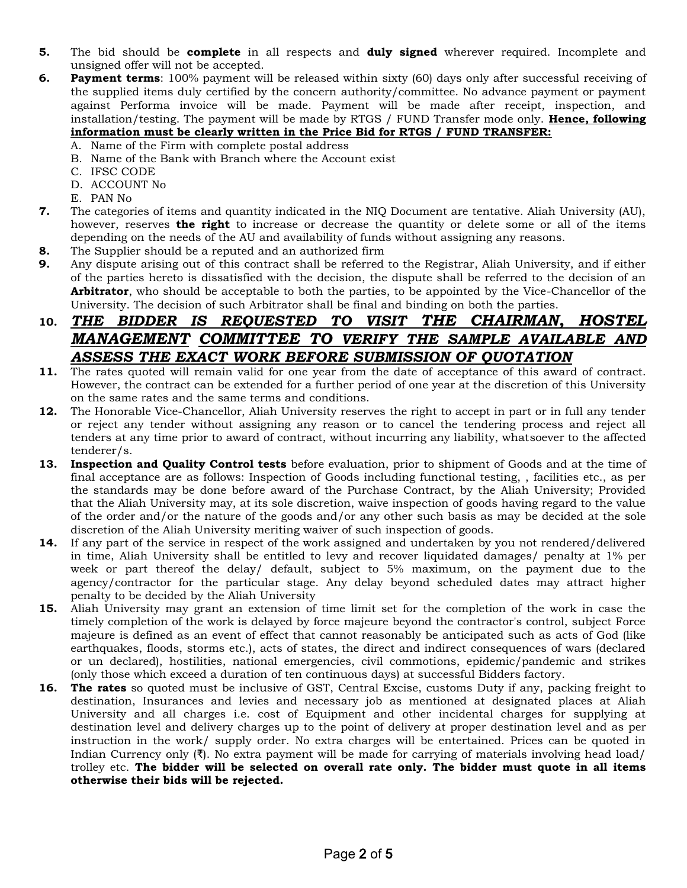- **5.** The bid should be **complete** in all respects and **duly signed** wherever required. Incomplete and unsigned offer will not be accepted.
- **6. Payment terms**: 100% payment will be released within sixty (60) days only after successful receiving of the supplied items duly certified by the concern authority/committee. No advance payment or payment against Performa invoice will be made. Payment will be made after receipt, inspection, and installation/testing. The payment will be made by RTGS / FUND Transfer mode only. **Hence, following information must be clearly written in the Price Bid for RTGS / FUND TRANSFER:**
	- A. Name of the Firm with complete postal address
	- B. Name of the Bank with Branch where the Account exist
	- C. IFSC CODE
	- D. ACCOUNT No
	- E. PAN No
- **7.** The categories of items and quantity indicated in the NIQ Document are tentative. Aliah University (AU), however, reserves **the right** to increase or decrease the quantity or delete some or all of the items depending on the needs of the AU and availability of funds without assigning any reasons.
- **8.** The Supplier should be a reputed and an authorized firm
- **9.** Any dispute arising out of this contract shall be referred to the Registrar, Aliah University, and if either of the parties hereto is dissatisfied with the decision, the dispute shall be referred to the decision of an **Arbitrator**, who should be acceptable to both the parties, to be appointed by the Vice-Chancellor of the University. The decision of such Arbitrator shall be final and binding on both the parties.

#### **10.** *THE BIDDER IS REQUESTED TO VISIT THE CHAIRMAN, HOSTEL MANAGEMENT COMMITTEE TO VERIFY THE SAMPLE AVAILABLE AND ASSESS THE EXACT WORK BEFORE SUBMISSION OF QUOTATION*

- **11.** The rates quoted will remain valid for one year from the date of acceptance of this award of contract. However, the contract can be extended for a further period of one year at the discretion of this University on the same rates and the same terms and conditions.
- **12.** The Honorable Vice-Chancellor, Aliah University reserves the right to accept in part or in full any tender or reject any tender without assigning any reason or to cancel the tendering process and reject all tenders at any time prior to award of contract, without incurring any liability, whatsoever to the affected tenderer/s.
- **13. Inspection and Quality Control tests** before evaluation, prior to shipment of Goods and at the time of final acceptance are as follows: Inspection of Goods including functional testing, , facilities etc., as per the standards may be done before award of the Purchase Contract, by the Aliah University; Provided that the Aliah University may, at its sole discretion, waive inspection of goods having regard to the value of the order and/or the nature of the goods and/or any other such basis as may be decided at the sole discretion of the Aliah University meriting waiver of such inspection of goods.
- **14.** If any part of the service in respect of the work assigned and undertaken by you not rendered/delivered in time, Aliah University shall be entitled to levy and recover liquidated damages/ penalty at 1% per week or part thereof the delay/ default, subject to 5% maximum, on the payment due to the agency/contractor for the particular stage. Any delay beyond scheduled dates may attract higher penalty to be decided by the Aliah University
- **15.** Aliah University may grant an extension of time limit set for the completion of the work in case the timely completion of the work is delayed by force majeure beyond the contractor's control, subject Force majeure is defined as an event of effect that cannot reasonably be anticipated such as acts of God (like earthquakes, floods, storms etc.), acts of states, the direct and indirect consequences of wars (declared or un declared), hostilities, national emergencies, civil commotions, epidemic/pandemic and strikes (only those which exceed a duration of ten continuous days) at successful Bidders factory.
- **16. The rates** so quoted must be inclusive of GST, Central Excise, customs Duty if any, packing freight to destination, Insurances and levies and necessary job as mentioned at designated places at Aliah University and all charges i.e. cost of Equipment and other incidental charges for supplying at destination level and delivery charges up to the point of delivery at proper destination level and as per instruction in the work/ supply order. No extra charges will be entertained. Prices can be quoted in Indian Currency only (₹). No extra payment will be made for carrying of materials involving head load/ trolley etc. **The bidder will be selected on overall rate only. The bidder must quote in all items otherwise their bids will be rejected.**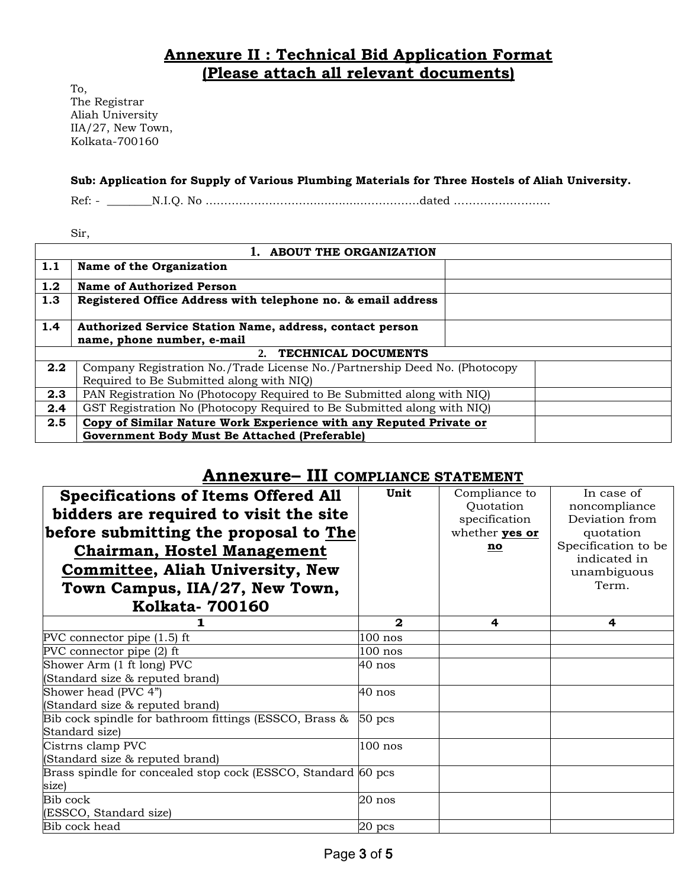### **Annexure II : Technical Bid Application Format (Please attach all relevant documents)**

To, The Registrar Aliah University IIA/27, New Town, Kolkata-700160

#### **Sub: Application for Supply of Various Plumbing Materials for Three Hostels of Aliah University.**

Ref: - \_\_\_\_\_\_\_\_N.I.Q. No ………………………................……………dated ……………………..

Sir,

| 1. ABOUT THE ORGANIZATION        |                                                                                                                        |  |  |  |
|----------------------------------|------------------------------------------------------------------------------------------------------------------------|--|--|--|
| 1.1                              | Name of the Organization                                                                                               |  |  |  |
| 1.2                              | Name of Authorized Person                                                                                              |  |  |  |
| 1.3                              | Registered Office Address with telephone no. & email address                                                           |  |  |  |
| 1.4                              | Authorized Service Station Name, address, contact person                                                               |  |  |  |
|                                  | name, phone number, e-mail                                                                                             |  |  |  |
| <b>TECHNICAL DOCUMENTS</b><br>2. |                                                                                                                        |  |  |  |
| 2.2                              | Company Registration No./Trade License No./Partnership Deed No. (Photocopy<br>Required to Be Submitted along with NIQ) |  |  |  |
| 2.3                              | PAN Registration No (Photocopy Required to Be Submitted along with NIQ)                                                |  |  |  |
| 2.4                              | GST Registration No (Photocopy Required to Be Submitted along with NIQ)                                                |  |  |  |
| 2.5                              | Copy of Similar Nature Work Experience with any Reputed Private or                                                     |  |  |  |
|                                  | <b>Government Body Must Be Attached (Preferable)</b>                                                                   |  |  |  |

### **Annexure– III COMPLIANCE STATEMENT**

| <b>Specifications of Items Offered All</b><br>bidders are required to visit the site<br>before submitting the proposal to The<br><b>Chairman, Hostel Management</b><br><b>Committee, Aliah University, New</b><br>Town Campus, IIA/27, New Town,<br><b>Kolkata-700160</b> | Unit         | Compliance to<br>Quotation<br>specification<br>whether <b>yes or</b><br>no | In case of<br>noncompliance<br>Deviation from<br>quotation<br>Specification to be<br>indicated in<br>unambiguous<br>Term. |
|---------------------------------------------------------------------------------------------------------------------------------------------------------------------------------------------------------------------------------------------------------------------------|--------------|----------------------------------------------------------------------------|---------------------------------------------------------------------------------------------------------------------------|
|                                                                                                                                                                                                                                                                           | $\mathbf{2}$ | 4                                                                          | 4                                                                                                                         |
| PVC connector pipe $(1.5)$ ft                                                                                                                                                                                                                                             | $100$ nos    |                                                                            |                                                                                                                           |
| PVC connector pipe (2) ft                                                                                                                                                                                                                                                 | $100$ nos    |                                                                            |                                                                                                                           |
| Shower Arm (1 ft long) PVC                                                                                                                                                                                                                                                | 40 nos       |                                                                            |                                                                                                                           |
| (Standard size & reputed brand)                                                                                                                                                                                                                                           |              |                                                                            |                                                                                                                           |
| Shower head (PVC 4")                                                                                                                                                                                                                                                      | 40 nos       |                                                                            |                                                                                                                           |
| (Standard size & reputed brand)                                                                                                                                                                                                                                           |              |                                                                            |                                                                                                                           |
| Bib cock spindle for bathroom fittings (ESSCO, Brass &                                                                                                                                                                                                                    | $50$ pcs     |                                                                            |                                                                                                                           |
| Standard size)                                                                                                                                                                                                                                                            |              |                                                                            |                                                                                                                           |
| Cistrns clamp PVC                                                                                                                                                                                                                                                         | $100$ nos    |                                                                            |                                                                                                                           |
| (Standard size & reputed brand)                                                                                                                                                                                                                                           |              |                                                                            |                                                                                                                           |
| Brass spindle for concealed stop cock (ESSCO, Standard 60 pcs                                                                                                                                                                                                             |              |                                                                            |                                                                                                                           |
| size)                                                                                                                                                                                                                                                                     |              |                                                                            |                                                                                                                           |
| Bib cock                                                                                                                                                                                                                                                                  | $20$ nos     |                                                                            |                                                                                                                           |
| (ESSCO, Standard size)                                                                                                                                                                                                                                                    |              |                                                                            |                                                                                                                           |
| Bib cock head                                                                                                                                                                                                                                                             | $20$ pcs     |                                                                            |                                                                                                                           |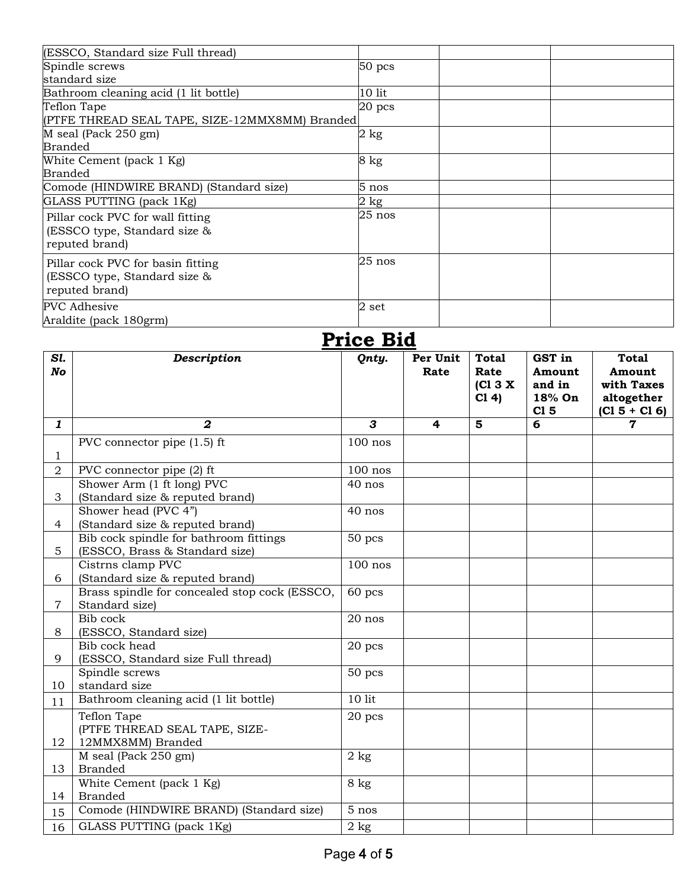| (ESSCO, Standard size Full thread)                                                  |                |
|-------------------------------------------------------------------------------------|----------------|
| Spindle screws                                                                      | $50$ pcs       |
| standard size                                                                       |                |
| Bathroom cleaning acid (1 lit bottle)                                               | 10 lit         |
| Teflon Tape<br>(PTFE THREAD SEAL TAPE, SIZE-12MMX8MM) Branded                       | $20$ pcs       |
| M seal (Pack 250 gm)<br><b>Branded</b>                                              | $2$ kg         |
| White Cement (pack 1 Kg)<br><b>Branded</b>                                          | 8 kg           |
| Comode (HINDWIRE BRAND) (Standard size)                                             | $5$ nos        |
| GLASS PUTTING (pack 1Kg)                                                            | $2 \text{ kg}$ |
| Pillar cock PVC for wall fitting<br>(ESSCO type, Standard size &<br>reputed brand)  | $25$ nos       |
| Pillar cock PVC for basin fitting<br>(ESSCO type, Standard size &<br>reputed brand) | $25$ nos       |
| <b>PVC</b> Adhesive<br>Araldite (pack 180grm)                                       | 2 set          |
|                                                                                     | 1.1.1 ה-2.1    |

|                | Price Big                                                 |              |                         |                                         |                                             |                                                                       |
|----------------|-----------------------------------------------------------|--------------|-------------------------|-----------------------------------------|---------------------------------------------|-----------------------------------------------------------------------|
| Sl.<br>No      | <b>Description</b>                                        | Qnty.        | Per Unit<br>Rate        | <b>Total</b><br>Rate<br>[CI 3 X]<br>C14 | GST in<br>Amount<br>and in<br>18% On<br>C15 | <b>Total</b><br>Amount<br>with Taxes<br>altogether<br>$(C1 5 + C1 6)$ |
| $\mathbf{1}$   | $\boldsymbol{2}$                                          | $\mathbf{3}$ | $\overline{\mathbf{4}}$ | $5\phantom{1}$                          | $\overline{\mathbf{6}}$                     | $\mathbf 7$                                                           |
|                | PVC connector pipe $(1.5)$ ft                             | $100$ nos    |                         |                                         |                                             |                                                                       |
| $\mathbf{1}$   |                                                           |              |                         |                                         |                                             |                                                                       |
| $\overline{2}$ | PVC connector pipe (2) ft                                 | $100$ nos    |                         |                                         |                                             |                                                                       |
|                | Shower Arm (1 ft long) PVC                                | 40 nos       |                         |                                         |                                             |                                                                       |
| 3              | (Standard size & reputed brand)                           |              |                         |                                         |                                             |                                                                       |
|                | Shower head (PVC 4")                                      | 40 nos       |                         |                                         |                                             |                                                                       |
| $\overline{4}$ | (Standard size & reputed brand)                           |              |                         |                                         |                                             |                                                                       |
|                | Bib cock spindle for bathroom fittings                    | $50$ pcs     |                         |                                         |                                             |                                                                       |
| 5              | (ESSCO, Brass & Standard size)                            | $100$ nos    |                         |                                         |                                             |                                                                       |
| 6              | Cistrns clamp PVC<br>(Standard size & reputed brand)      |              |                         |                                         |                                             |                                                                       |
|                | Brass spindle for concealed stop cock (ESSCO,             | 60 pcs       |                         |                                         |                                             |                                                                       |
| 7              | Standard size)                                            |              |                         |                                         |                                             |                                                                       |
|                | Bib cock                                                  | 20 nos       |                         |                                         |                                             |                                                                       |
| 8              | (ESSCO, Standard size)                                    |              |                         |                                         |                                             |                                                                       |
|                | Bib cock head                                             | $20$ pcs     |                         |                                         |                                             |                                                                       |
| 9              | (ESSCO, Standard size Full thread)                        |              |                         |                                         |                                             |                                                                       |
|                | Spindle screws                                            | 50 pcs       |                         |                                         |                                             |                                                                       |
| 10             | standard size                                             |              |                         |                                         |                                             |                                                                       |
| 11             | Bathroom cleaning acid (1 lit bottle)                     | $10$ lit     |                         |                                         |                                             |                                                                       |
|                | Teflon Tape                                               | $20$ pcs     |                         |                                         |                                             |                                                                       |
|                | (PTFE THREAD SEAL TAPE, SIZE-                             |              |                         |                                         |                                             |                                                                       |
| 12             | 12MMX8MM) Branded                                         |              |                         |                                         |                                             |                                                                       |
|                | M seal (Pack 250 gm)                                      | $2$ kg       |                         |                                         |                                             |                                                                       |
| 13             | <b>Branded</b>                                            |              |                         |                                         |                                             |                                                                       |
|                | White Cement (pack 1 Kg)                                  | $8$ kg       |                         |                                         |                                             |                                                                       |
| 14             | <b>Branded</b><br>Comode (HINDWIRE BRAND) (Standard size) | 5 nos        |                         |                                         |                                             |                                                                       |
| 15             |                                                           |              |                         |                                         |                                             |                                                                       |
| 16             | GLASS PUTTING (pack 1Kg)                                  | $2$ kg       |                         |                                         |                                             |                                                                       |